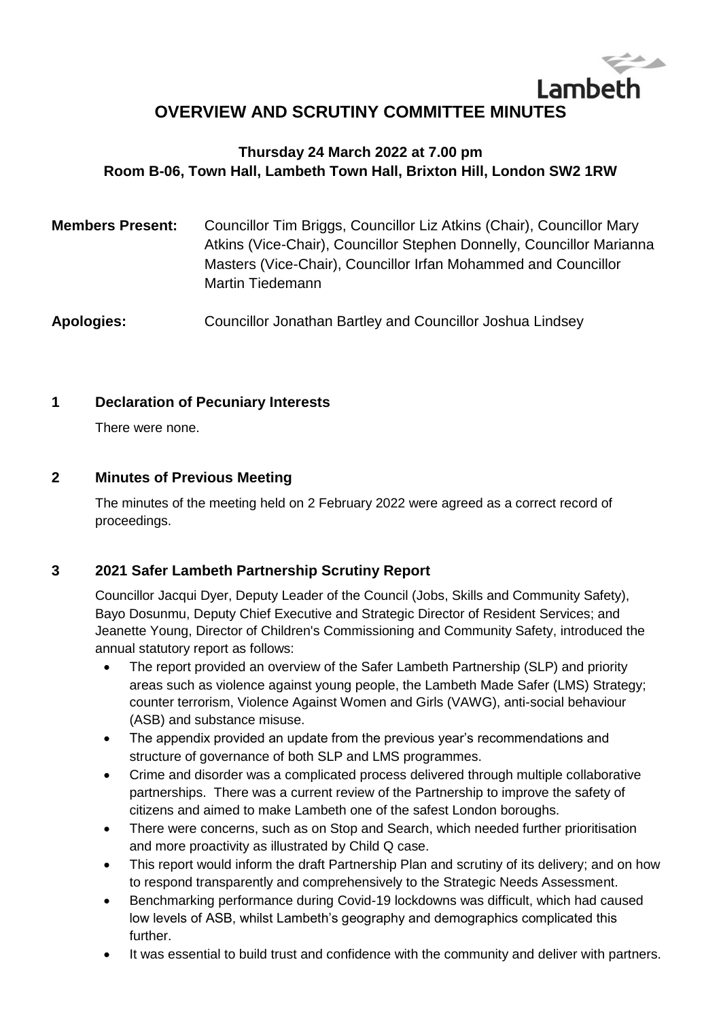# Lambeth **OVERVIEW AND SCRUTINY COMMITTEE MINUTES**

# **Thursday 24 March 2022 at 7.00 pm Room B-06, Town Hall, Lambeth Town Hall, Brixton Hill, London SW2 1RW**

| Councillor Tim Briggs, Councillor Liz Atkins (Chair), Councillor Mary<br>Atkins (Vice-Chair), Councillor Stephen Donnelly, Councillor Marianna<br>Masters (Vice-Chair), Councillor Irfan Mohammed and Councillor<br>Martin Tiedemann |
|--------------------------------------------------------------------------------------------------------------------------------------------------------------------------------------------------------------------------------------|
|                                                                                                                                                                                                                                      |
|                                                                                                                                                                                                                                      |

**Apologies:** Councillor Jonathan Bartley and Councillor Joshua Lindsey

## **1 Declaration of Pecuniary Interests**

There were none.

## **2 Minutes of Previous Meeting**

The minutes of the meeting held on 2 February 2022 were agreed as a correct record of proceedings.

# **3 2021 Safer Lambeth Partnership Scrutiny Report**

Councillor Jacqui Dyer, Deputy Leader of the Council (Jobs, Skills and Community Safety), Bayo Dosunmu, Deputy Chief Executive and Strategic Director of Resident Services; and Jeanette Young, Director of Children's Commissioning and Community Safety, introduced the annual statutory report as follows:

- The report provided an overview of the Safer Lambeth Partnership (SLP) and priority areas such as violence against young people, the Lambeth Made Safer (LMS) Strategy; counter terrorism, Violence Against Women and Girls (VAWG), anti-social behaviour (ASB) and substance misuse.
- The appendix provided an update from the previous year's recommendations and structure of governance of both SLP and LMS programmes.
- Crime and disorder was a complicated process delivered through multiple collaborative partnerships. There was a current review of the Partnership to improve the safety of citizens and aimed to make Lambeth one of the safest London boroughs.
- There were concerns, such as on Stop and Search, which needed further prioritisation and more proactivity as illustrated by Child Q case.
- This report would inform the draft Partnership Plan and scrutiny of its delivery; and on how to respond transparently and comprehensively to the Strategic Needs Assessment.
- Benchmarking performance during Covid-19 lockdowns was difficult, which had caused low levels of ASB, whilst Lambeth's geography and demographics complicated this further.
- It was essential to build trust and confidence with the community and deliver with partners.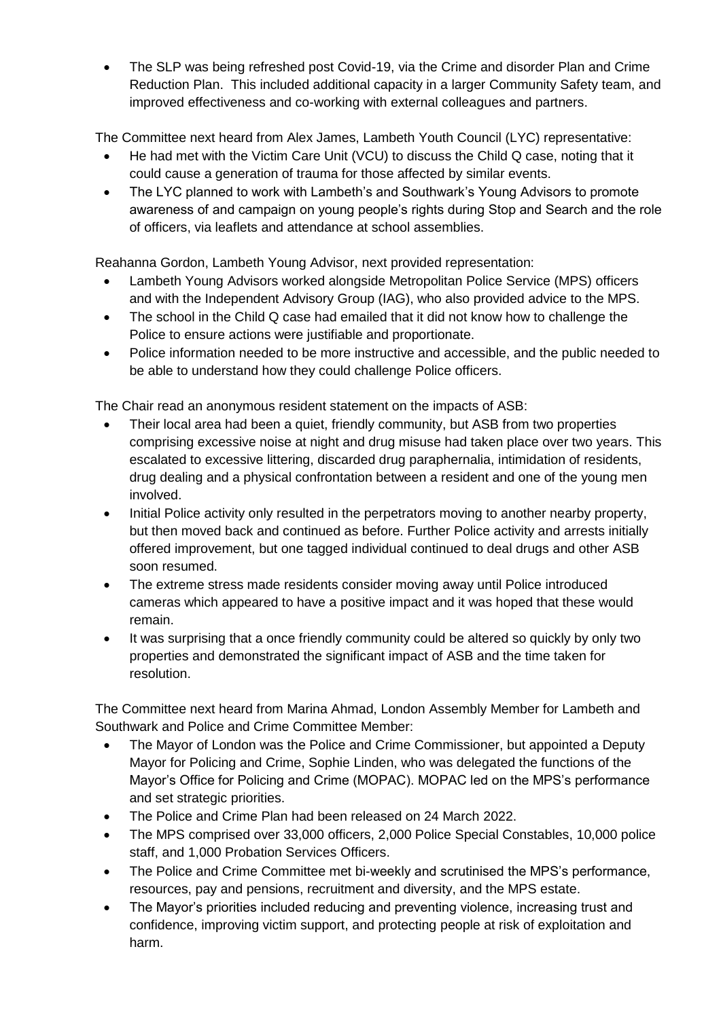The SLP was being refreshed post Covid-19, via the Crime and disorder Plan and Crime Reduction Plan. This included additional capacity in a larger Community Safety team, and improved effectiveness and co-working with external colleagues and partners.

The Committee next heard from Alex James, Lambeth Youth Council (LYC) representative:

- He had met with the Victim Care Unit (VCU) to discuss the Child Q case, noting that it could cause a generation of trauma for those affected by similar events.
- The LYC planned to work with Lambeth's and Southwark's Young Advisors to promote awareness of and campaign on young people's rights during Stop and Search and the role of officers, via leaflets and attendance at school assemblies.

Reahanna Gordon, Lambeth Young Advisor, next provided representation:

- Lambeth Young Advisors worked alongside Metropolitan Police Service (MPS) officers and with the Independent Advisory Group (IAG), who also provided advice to the MPS.
- The school in the Child Q case had emailed that it did not know how to challenge the Police to ensure actions were justifiable and proportionate.
- Police information needed to be more instructive and accessible, and the public needed to be able to understand how they could challenge Police officers.

The Chair read an anonymous resident statement on the impacts of ASB:

- Their local area had been a quiet, friendly community, but ASB from two properties comprising excessive noise at night and drug misuse had taken place over two years. This escalated to excessive littering, discarded drug paraphernalia, intimidation of residents, drug dealing and a physical confrontation between a resident and one of the young men involved.
- Initial Police activity only resulted in the perpetrators moving to another nearby property, but then moved back and continued as before. Further Police activity and arrests initially offered improvement, but one tagged individual continued to deal drugs and other ASB soon resumed.
- The extreme stress made residents consider moving away until Police introduced cameras which appeared to have a positive impact and it was hoped that these would remain.
- It was surprising that a once friendly community could be altered so quickly by only two properties and demonstrated the significant impact of ASB and the time taken for resolution.

The Committee next heard from Marina Ahmad, London Assembly Member for Lambeth and Southwark and Police and Crime Committee Member:

- The Mayor of London was the Police and Crime Commissioner, but appointed a Deputy Mayor for Policing and Crime, Sophie Linden, who was delegated the functions of the Mayor's Office for Policing and Crime (MOPAC). MOPAC led on the MPS's performance and set strategic priorities.
- The Police and Crime Plan had been released on 24 March 2022.
- The MPS comprised over 33,000 officers, 2,000 Police Special Constables, 10,000 police staff, and 1,000 Probation Services Officers.
- The Police and Crime Committee met bi-weekly and scrutinised the MPS's performance, resources, pay and pensions, recruitment and diversity, and the MPS estate.
- The Mayor's priorities included reducing and preventing violence, increasing trust and confidence, improving victim support, and protecting people at risk of exploitation and harm.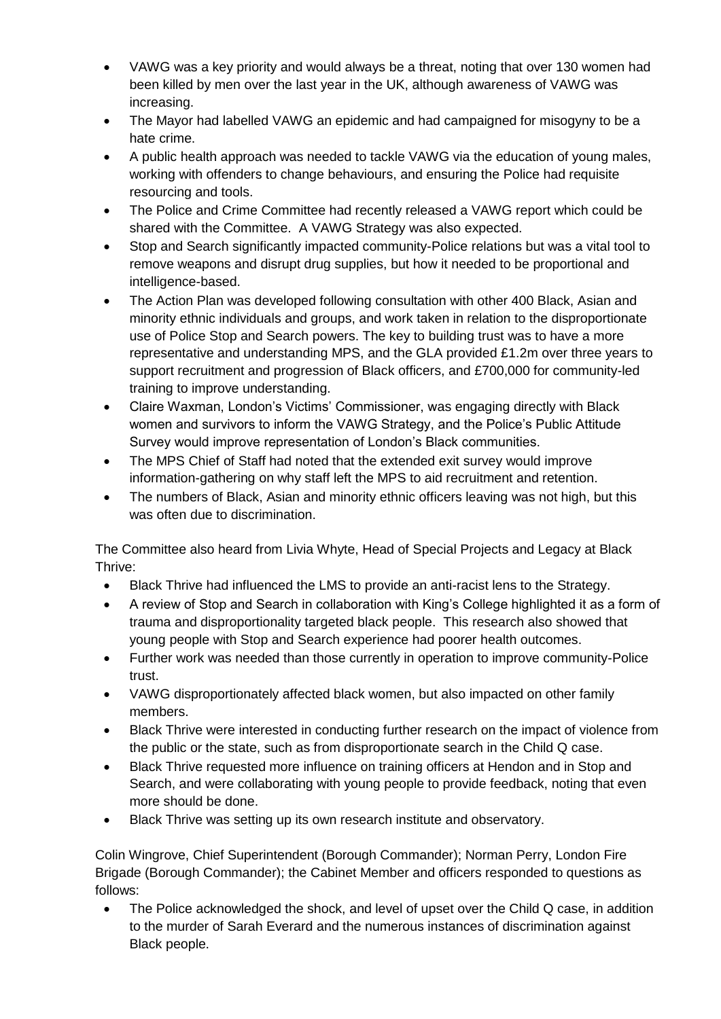- VAWG was a key priority and would always be a threat, noting that over 130 women had been killed by men over the last year in the UK, although awareness of VAWG was increasing.
- The Mayor had labelled VAWG an epidemic and had campaigned for misogyny to be a hate crime.
- A public health approach was needed to tackle VAWG via the education of young males, working with offenders to change behaviours, and ensuring the Police had requisite resourcing and tools.
- The Police and Crime Committee had recently released a VAWG report which could be shared with the Committee. A VAWG Strategy was also expected.
- Stop and Search significantly impacted community-Police relations but was a vital tool to remove weapons and disrupt drug supplies, but how it needed to be proportional and intelligence-based.
- The Action Plan was developed following consultation with other 400 Black, Asian and minority ethnic individuals and groups, and work taken in relation to the disproportionate use of Police Stop and Search powers. The key to building trust was to have a more representative and understanding MPS, and the GLA provided £1.2m over three years to support recruitment and progression of Black officers, and £700,000 for community-led training to improve understanding.
- Claire Waxman, London's Victims' Commissioner, was engaging directly with Black women and survivors to inform the VAWG Strategy, and the Police's Public Attitude Survey would improve representation of London's Black communities.
- The MPS Chief of Staff had noted that the extended exit survey would improve information-gathering on why staff left the MPS to aid recruitment and retention.
- The numbers of Black, Asian and minority ethnic officers leaving was not high, but this was often due to discrimination.

The Committee also heard from Livia Whyte, Head of Special Projects and Legacy at Black Thrive:

- Black Thrive had influenced the LMS to provide an anti-racist lens to the Strategy.
- A review of Stop and Search in collaboration with King's College highlighted it as a form of trauma and disproportionality targeted black people. This research also showed that young people with Stop and Search experience had poorer health outcomes.
- Further work was needed than those currently in operation to improve community-Police trust.
- VAWG disproportionately affected black women, but also impacted on other family members.
- Black Thrive were interested in conducting further research on the impact of violence from the public or the state, such as from disproportionate search in the Child Q case.
- Black Thrive requested more influence on training officers at Hendon and in Stop and Search, and were collaborating with young people to provide feedback, noting that even more should be done.
- Black Thrive was setting up its own research institute and observatory.

Colin Wingrove, Chief Superintendent (Borough Commander); Norman Perry, London Fire Brigade (Borough Commander); the Cabinet Member and officers responded to questions as follows:

 The Police acknowledged the shock, and level of upset over the Child Q case, in addition to the murder of Sarah Everard and the numerous instances of discrimination against Black people.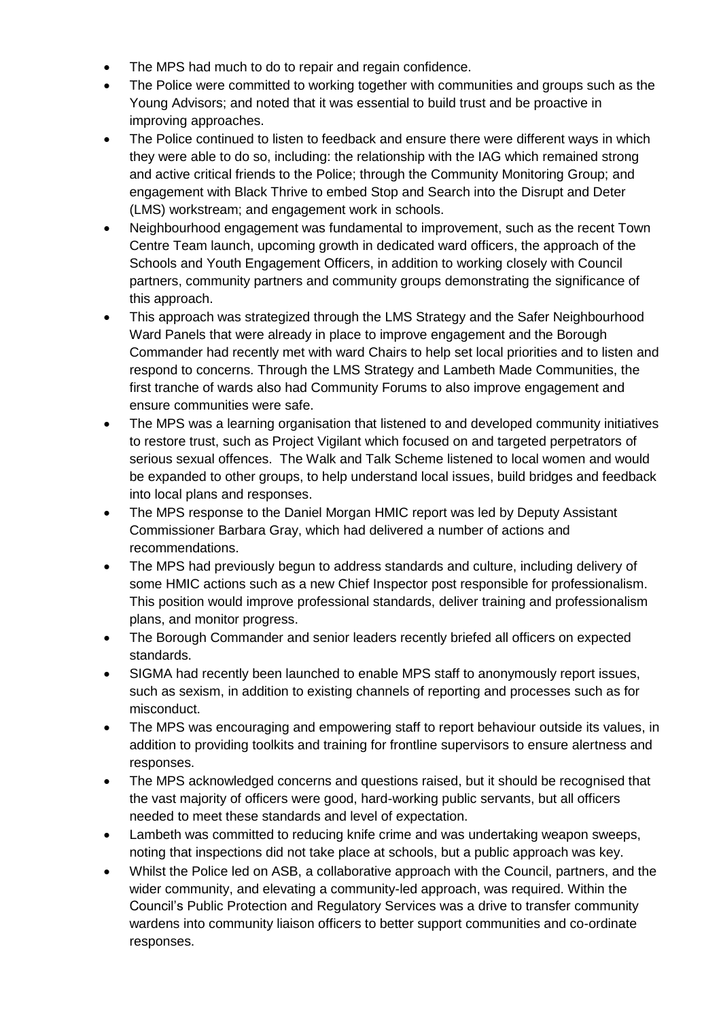- The MPS had much to do to repair and regain confidence.
- The Police were committed to working together with communities and groups such as the Young Advisors; and noted that it was essential to build trust and be proactive in improving approaches.
- The Police continued to listen to feedback and ensure there were different ways in which they were able to do so, including: the relationship with the IAG which remained strong and active critical friends to the Police; through the Community Monitoring Group; and engagement with Black Thrive to embed Stop and Search into the Disrupt and Deter (LMS) workstream; and engagement work in schools.
- Neighbourhood engagement was fundamental to improvement, such as the recent Town Centre Team launch, upcoming growth in dedicated ward officers, the approach of the Schools and Youth Engagement Officers, in addition to working closely with Council partners, community partners and community groups demonstrating the significance of this approach.
- This approach was strategized through the LMS Strategy and the Safer Neighbourhood Ward Panels that were already in place to improve engagement and the Borough Commander had recently met with ward Chairs to help set local priorities and to listen and respond to concerns. Through the LMS Strategy and Lambeth Made Communities, the first tranche of wards also had Community Forums to also improve engagement and ensure communities were safe.
- The MPS was a learning organisation that listened to and developed community initiatives to restore trust, such as Project Vigilant which focused on and targeted perpetrators of serious sexual offences. The Walk and Talk Scheme listened to local women and would be expanded to other groups, to help understand local issues, build bridges and feedback into local plans and responses.
- The MPS response to the Daniel Morgan HMIC report was led by Deputy Assistant Commissioner Barbara Gray, which had delivered a number of actions and recommendations.
- The MPS had previously begun to address standards and culture, including delivery of some HMIC actions such as a new Chief Inspector post responsible for professionalism. This position would improve professional standards, deliver training and professionalism plans, and monitor progress.
- The Borough Commander and senior leaders recently briefed all officers on expected standards.
- SIGMA had recently been launched to enable MPS staff to anonymously report issues, such as sexism, in addition to existing channels of reporting and processes such as for misconduct.
- The MPS was encouraging and empowering staff to report behaviour outside its values, in addition to providing toolkits and training for frontline supervisors to ensure alertness and responses.
- The MPS acknowledged concerns and questions raised, but it should be recognised that the vast majority of officers were good, hard-working public servants, but all officers needed to meet these standards and level of expectation.
- Lambeth was committed to reducing knife crime and was undertaking weapon sweeps, noting that inspections did not take place at schools, but a public approach was key.
- Whilst the Police led on ASB, a collaborative approach with the Council, partners, and the wider community, and elevating a community-led approach, was required. Within the Council's Public Protection and Regulatory Services was a drive to transfer community wardens into community liaison officers to better support communities and co-ordinate responses.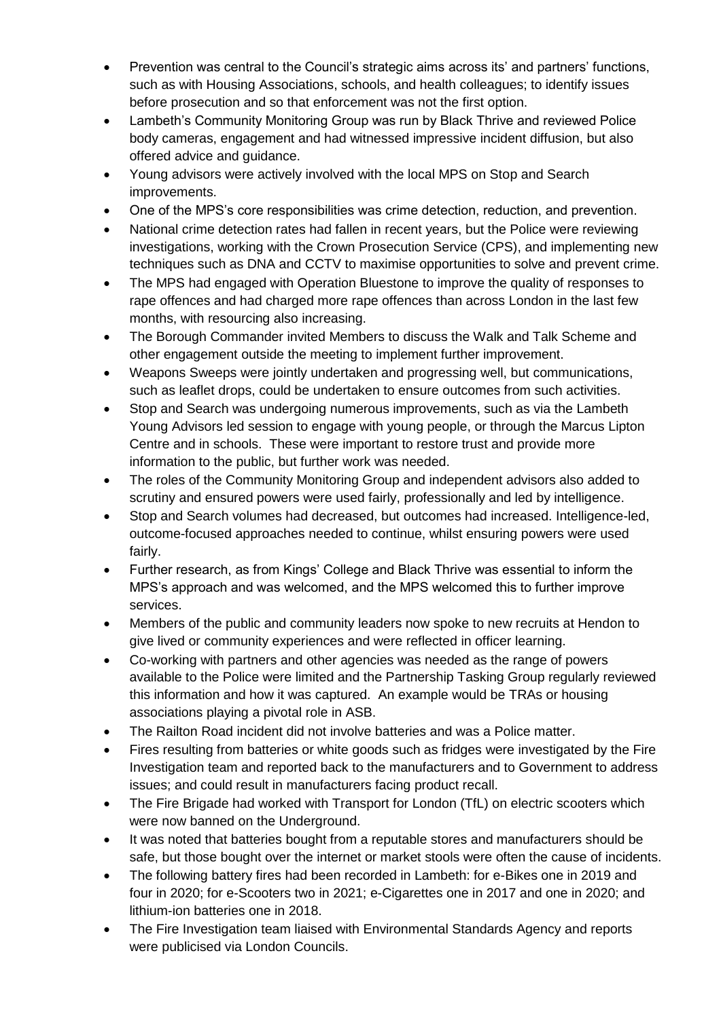- Prevention was central to the Council's strategic aims across its' and partners' functions, such as with Housing Associations, schools, and health colleagues; to identify issues before prosecution and so that enforcement was not the first option.
- Lambeth's Community Monitoring Group was run by Black Thrive and reviewed Police body cameras, engagement and had witnessed impressive incident diffusion, but also offered advice and guidance.
- Young advisors were actively involved with the local MPS on Stop and Search improvements.
- One of the MPS's core responsibilities was crime detection, reduction, and prevention.
- National crime detection rates had fallen in recent years, but the Police were reviewing investigations, working with the Crown Prosecution Service (CPS), and implementing new techniques such as DNA and CCTV to maximise opportunities to solve and prevent crime.
- The MPS had engaged with Operation Bluestone to improve the quality of responses to rape offences and had charged more rape offences than across London in the last few months, with resourcing also increasing.
- The Borough Commander invited Members to discuss the Walk and Talk Scheme and other engagement outside the meeting to implement further improvement.
- Weapons Sweeps were jointly undertaken and progressing well, but communications, such as leaflet drops, could be undertaken to ensure outcomes from such activities.
- Stop and Search was undergoing numerous improvements, such as via the Lambeth Young Advisors led session to engage with young people, or through the Marcus Lipton Centre and in schools. These were important to restore trust and provide more information to the public, but further work was needed.
- The roles of the Community Monitoring Group and independent advisors also added to scrutiny and ensured powers were used fairly, professionally and led by intelligence.
- Stop and Search volumes had decreased, but outcomes had increased. Intelligence-led, outcome-focused approaches needed to continue, whilst ensuring powers were used fairly.
- Further research, as from Kings' College and Black Thrive was essential to inform the MPS's approach and was welcomed, and the MPS welcomed this to further improve services.
- Members of the public and community leaders now spoke to new recruits at Hendon to give lived or community experiences and were reflected in officer learning.
- Co-working with partners and other agencies was needed as the range of powers available to the Police were limited and the Partnership Tasking Group regularly reviewed this information and how it was captured. An example would be TRAs or housing associations playing a pivotal role in ASB.
- The Railton Road incident did not involve batteries and was a Police matter.
- Fires resulting from batteries or white goods such as fridges were investigated by the Fire Investigation team and reported back to the manufacturers and to Government to address issues; and could result in manufacturers facing product recall.
- The Fire Brigade had worked with Transport for London (TfL) on electric scooters which were now banned on the Underground.
- It was noted that batteries bought from a reputable stores and manufacturers should be safe, but those bought over the internet or market stools were often the cause of incidents.
- The following battery fires had been recorded in Lambeth: for e-Bikes one in 2019 and four in 2020; for e-Scooters two in 2021; e-Cigarettes one in 2017 and one in 2020; and lithium-ion batteries one in 2018.
- The Fire Investigation team liaised with Environmental Standards Agency and reports were publicised via London Councils.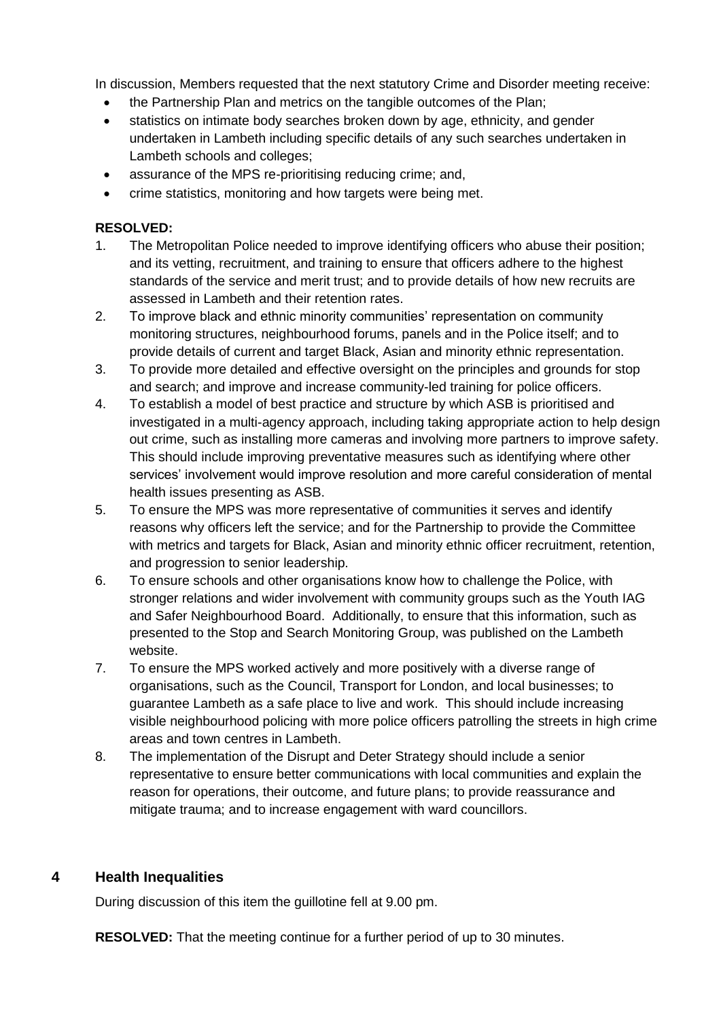In discussion, Members requested that the next statutory Crime and Disorder meeting receive:

- the Partnership Plan and metrics on the tangible outcomes of the Plan;
- statistics on intimate body searches broken down by age, ethnicity, and gender undertaken in Lambeth including specific details of any such searches undertaken in Lambeth schools and colleges;
- assurance of the MPS re-prioritising reducing crime; and,
- crime statistics, monitoring and how targets were being met.

#### **RESOLVED:**

- 1. The Metropolitan Police needed to improve identifying officers who abuse their position; and its vetting, recruitment, and training to ensure that officers adhere to the highest standards of the service and merit trust; and to provide details of how new recruits are assessed in Lambeth and their retention rates.
- 2. To improve black and ethnic minority communities' representation on community monitoring structures, neighbourhood forums, panels and in the Police itself; and to provide details of current and target Black, Asian and minority ethnic representation.
- 3. To provide more detailed and effective oversight on the principles and grounds for stop and search; and improve and increase community-led training for police officers.
- 4. To establish a model of best practice and structure by which ASB is prioritised and investigated in a multi-agency approach, including taking appropriate action to help design out crime, such as installing more cameras and involving more partners to improve safety. This should include improving preventative measures such as identifying where other services' involvement would improve resolution and more careful consideration of mental health issues presenting as ASB.
- 5. To ensure the MPS was more representative of communities it serves and identify reasons why officers left the service; and for the Partnership to provide the Committee with metrics and targets for Black, Asian and minority ethnic officer recruitment, retention, and progression to senior leadership.
- 6. To ensure schools and other organisations know how to challenge the Police, with stronger relations and wider involvement with community groups such as the Youth IAG and Safer Neighbourhood Board. Additionally, to ensure that this information, such as presented to the Stop and Search Monitoring Group, was published on the Lambeth website.
- 7. To ensure the MPS worked actively and more positively with a diverse range of organisations, such as the Council, Transport for London, and local businesses; to guarantee Lambeth as a safe place to live and work. This should include increasing visible neighbourhood policing with more police officers patrolling the streets in high crime areas and town centres in Lambeth.
- 8. The implementation of the Disrupt and Deter Strategy should include a senior representative to ensure better communications with local communities and explain the reason for operations, their outcome, and future plans; to provide reassurance and mitigate trauma; and to increase engagement with ward councillors.

## **4 Health Inequalities**

During discussion of this item the guillotine fell at 9.00 pm.

**RESOLVED:** That the meeting continue for a further period of up to 30 minutes.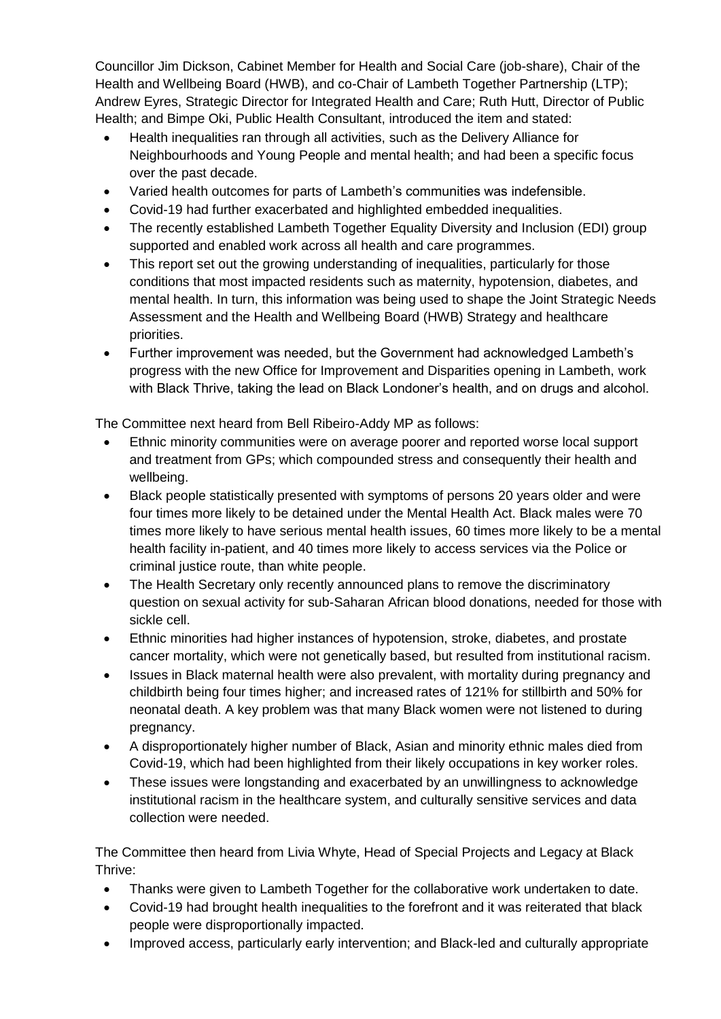Councillor Jim Dickson, Cabinet Member for Health and Social Care (job-share), Chair of the Health and Wellbeing Board (HWB), and co-Chair of Lambeth Together Partnership (LTP); Andrew Eyres, Strategic Director for Integrated Health and Care; Ruth Hutt, Director of Public Health; and Bimpe Oki, Public Health Consultant, introduced the item and stated:

- Health inequalities ran through all activities, such as the Delivery Alliance for Neighbourhoods and Young People and mental health; and had been a specific focus over the past decade.
- Varied health outcomes for parts of Lambeth's communities was indefensible.
- Covid-19 had further exacerbated and highlighted embedded inequalities.
- The recently established Lambeth Together Equality Diversity and Inclusion (EDI) group supported and enabled work across all health and care programmes.
- This report set out the growing understanding of inequalities, particularly for those conditions that most impacted residents such as maternity, hypotension, diabetes, and mental health. In turn, this information was being used to shape the Joint Strategic Needs Assessment and the Health and Wellbeing Board (HWB) Strategy and healthcare priorities.
- Further improvement was needed, but the Government had acknowledged Lambeth's progress with the new Office for Improvement and Disparities opening in Lambeth, work with Black Thrive, taking the lead on Black Londoner's health, and on drugs and alcohol.

The Committee next heard from Bell Ribeiro-Addy MP as follows:

- Ethnic minority communities were on average poorer and reported worse local support and treatment from GPs; which compounded stress and consequently their health and wellbeing.
- Black people statistically presented with symptoms of persons 20 years older and were four times more likely to be detained under the Mental Health Act. Black males were 70 times more likely to have serious mental health issues, 60 times more likely to be a mental health facility in-patient, and 40 times more likely to access services via the Police or criminal justice route, than white people.
- The Health Secretary only recently announced plans to remove the discriminatory question on sexual activity for sub-Saharan African blood donations, needed for those with sickle cell.
- Ethnic minorities had higher instances of hypotension, stroke, diabetes, and prostate cancer mortality, which were not genetically based, but resulted from institutional racism.
- Issues in Black maternal health were also prevalent, with mortality during pregnancy and childbirth being four times higher; and increased rates of 121% for stillbirth and 50% for neonatal death. A key problem was that many Black women were not listened to during pregnancy.
- A disproportionately higher number of Black, Asian and minority ethnic males died from Covid-19, which had been highlighted from their likely occupations in key worker roles.
- These issues were longstanding and exacerbated by an unwillingness to acknowledge institutional racism in the healthcare system, and culturally sensitive services and data collection were needed.

The Committee then heard from Livia Whyte, Head of Special Projects and Legacy at Black Thrive:

- Thanks were given to Lambeth Together for the collaborative work undertaken to date.
- Covid-19 had brought health inequalities to the forefront and it was reiterated that black people were disproportionally impacted.
- Improved access, particularly early intervention; and Black-led and culturally appropriate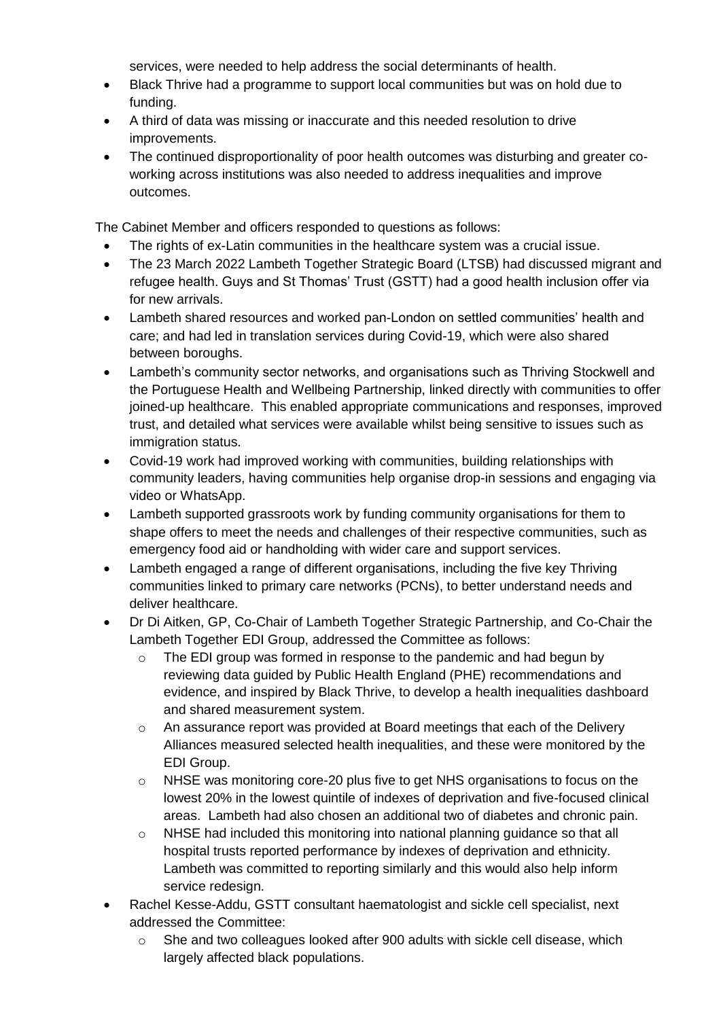services, were needed to help address the social determinants of health.

- Black Thrive had a programme to support local communities but was on hold due to funding.
- A third of data was missing or inaccurate and this needed resolution to drive improvements.
- The continued disproportionality of poor health outcomes was disturbing and greater coworking across institutions was also needed to address inequalities and improve outcomes.

The Cabinet Member and officers responded to questions as follows:

- The rights of ex-Latin communities in the healthcare system was a crucial issue.
- The 23 March 2022 Lambeth Together Strategic Board (LTSB) had discussed migrant and refugee health. Guys and St Thomas' Trust (GSTT) had a good health inclusion offer via for new arrivals.
- Lambeth shared resources and worked pan-London on settled communities' health and care; and had led in translation services during Covid-19, which were also shared between boroughs.
- Lambeth's community sector networks, and organisations such as Thriving Stockwell and the Portuguese Health and Wellbeing Partnership, linked directly with communities to offer joined-up healthcare. This enabled appropriate communications and responses, improved trust, and detailed what services were available whilst being sensitive to issues such as immigration status.
- Covid-19 work had improved working with communities, building relationships with community leaders, having communities help organise drop-in sessions and engaging via video or WhatsApp.
- Lambeth supported grassroots work by funding community organisations for them to shape offers to meet the needs and challenges of their respective communities, such as emergency food aid or handholding with wider care and support services.
- Lambeth engaged a range of different organisations, including the five key Thriving communities linked to primary care networks (PCNs), to better understand needs and deliver healthcare.
- Dr Di Aitken, GP, Co-Chair of Lambeth Together Strategic Partnership, and Co-Chair the Lambeth Together EDI Group, addressed the Committee as follows:
	- o The EDI group was formed in response to the pandemic and had begun by reviewing data guided by Public Health England (PHE) recommendations and evidence, and inspired by Black Thrive, to develop a health inequalities dashboard and shared measurement system.
	- o An assurance report was provided at Board meetings that each of the Delivery Alliances measured selected health inequalities, and these were monitored by the EDI Group.
	- $\circ$  NHSE was monitoring core-20 plus five to get NHS organisations to focus on the lowest 20% in the lowest quintile of indexes of deprivation and five-focused clinical areas. Lambeth had also chosen an additional two of diabetes and chronic pain.
	- o NHSE had included this monitoring into national planning guidance so that all hospital trusts reported performance by indexes of deprivation and ethnicity. Lambeth was committed to reporting similarly and this would also help inform service redesign.
- Rachel Kesse-Addu, GSTT consultant haematologist and sickle cell specialist, next addressed the Committee:
	- $\circ$  She and two colleagues looked after 900 adults with sickle cell disease, which largely affected black populations.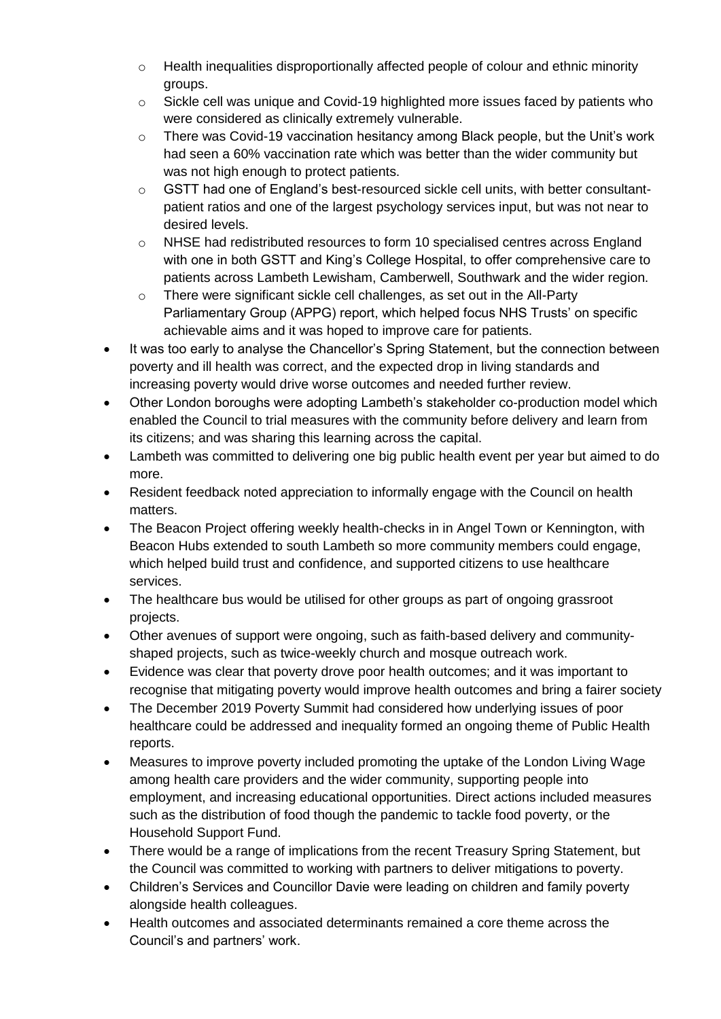- $\circ$  Health inequalities disproportionally affected people of colour and ethnic minority groups.
- $\circ$  Sickle cell was unique and Covid-19 highlighted more issues faced by patients who were considered as clinically extremely vulnerable.
- $\circ$  There was Covid-19 vaccination hesitancy among Black people, but the Unit's work had seen a 60% vaccination rate which was better than the wider community but was not high enough to protect patients.
- $\circ$  GSTT had one of England's best-resourced sickle cell units, with better consultantpatient ratios and one of the largest psychology services input, but was not near to desired levels.
- o NHSE had redistributed resources to form 10 specialised centres across England with one in both GSTT and King's College Hospital, to offer comprehensive care to patients across Lambeth Lewisham, Camberwell, Southwark and the wider region.
- o There were significant sickle cell challenges, as set out in the All-Party Parliamentary Group (APPG) report, which helped focus NHS Trusts' on specific achievable aims and it was hoped to improve care for patients.
- It was too early to analyse the Chancellor's Spring Statement, but the connection between poverty and ill health was correct, and the expected drop in living standards and increasing poverty would drive worse outcomes and needed further review.
- Other London boroughs were adopting Lambeth's stakeholder co-production model which enabled the Council to trial measures with the community before delivery and learn from its citizens; and was sharing this learning across the capital.
- Lambeth was committed to delivering one big public health event per year but aimed to do more.
- Resident feedback noted appreciation to informally engage with the Council on health matters.
- The Beacon Project offering weekly health-checks in in Angel Town or Kennington, with Beacon Hubs extended to south Lambeth so more community members could engage, which helped build trust and confidence, and supported citizens to use healthcare services.
- The healthcare bus would be utilised for other groups as part of ongoing grassroot projects.
- Other avenues of support were ongoing, such as faith-based delivery and communityshaped projects, such as twice-weekly church and mosque outreach work.
- Evidence was clear that poverty drove poor health outcomes; and it was important to recognise that mitigating poverty would improve health outcomes and bring a fairer society
- The December 2019 Poverty Summit had considered how underlying issues of poor healthcare could be addressed and inequality formed an ongoing theme of Public Health reports.
- Measures to improve poverty included promoting the uptake of the London Living Wage among health care providers and the wider community, supporting people into employment, and increasing educational opportunities. Direct actions included measures such as the distribution of food though the pandemic to tackle food poverty, or the Household Support Fund.
- There would be a range of implications from the recent Treasury Spring Statement, but the Council was committed to working with partners to deliver mitigations to poverty.
- Children's Services and Councillor Davie were leading on children and family poverty alongside health colleagues.
- Health outcomes and associated determinants remained a core theme across the Council's and partners' work.